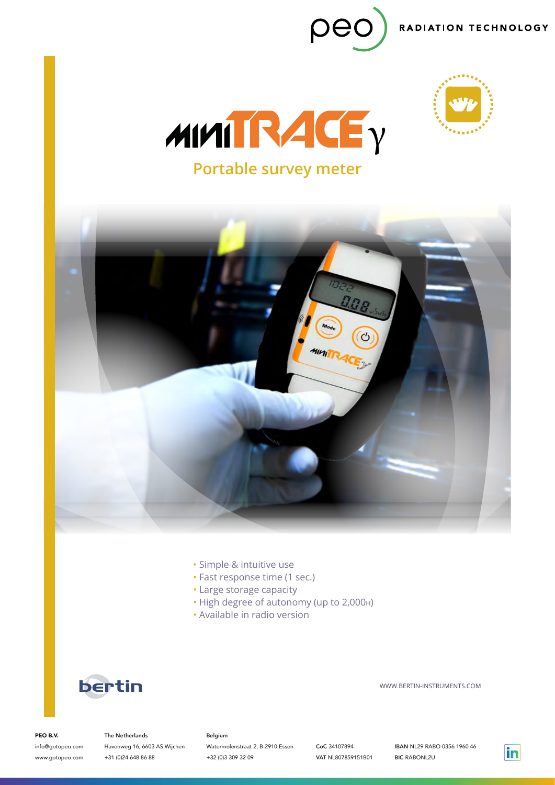







- Simple & intuitive use
- Fast response time (1 sec.)
- Large storage capacity
- High degree of autonomy (up to 2,000h)
- Available in radio version



WWW.BERTIN-INSTRUMENTS.COM

PEO B.V.

info@gotopeo.com www.gotopeo.com

The Netherlands Havenweg 16, 6603 AS Wijchen +31 (0)24 648 86 88

### Belgium

Watermolenstraat 2, B-2910 Essen +32 (0)3 309 32 09

CoC 34107894 VAT NL807859151B01 IBAN NL29 RABO 0356 1960 46 BIC RABONL2U